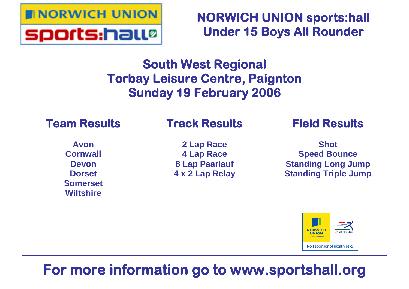

**NORWICH UNION sports:hall Under 15 Boys All Rounder**

# **South West Regional Torbay Leisure Centre, Paignton Sunday 19 February 2006**

# **Team Results**

# **Track Results**

**Avon Cornwall Devon Dorset Somerset Wiltshire**

**2 Lap Race 4 Lap Race 8 Lap Paarlauf 4 x 2 Lap Relay** **Field Results**

**Shot Speed Bounce Standing Long Jump Standing Triple Jump**



# **For more information go to www.sportshall.org**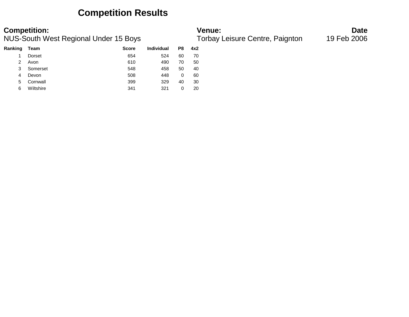### **Competition Results**

| Ranking | Team      | <b>Score</b> | <b>Individual</b> | P8 | 4x2 |
|---------|-----------|--------------|-------------------|----|-----|
|         | Dorset    | 654          | 524               | 60 | 70  |
| 2       | Avon      | 610          | 490               | 70 | 50  |
| 3       | Somerset  | 548          | 458               | 50 | 40  |
| 4       | Devon     | 508          | 448               | 0  | 60  |
| 5       | Cornwall  | 399          | 329               | 40 | 30  |
| 6       | Wiltshire | 341          | 321               | 0  | 20  |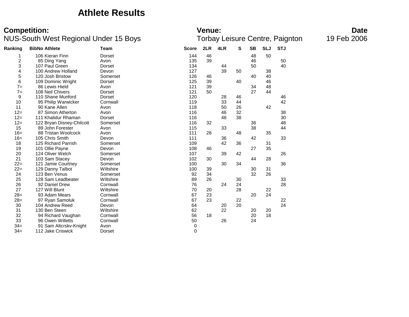### **Athlete Results**

| Ranking | <b>BibNo Athlete</b>      | <b>Team</b>   | <b>Score</b> | 2LR | 4LR | S  | <b>SB</b> | <b>SLJ</b> | <b>STJ</b> |
|---------|---------------------------|---------------|--------------|-----|-----|----|-----------|------------|------------|
| 1       | 106 Kieran Finn           | Dorset        | 144          | 46  |     |    | 48        | 50         |            |
| 2       | 85 Ding Yang              | Avon          | 135          | 39  |     |    | 46        |            | 50         |
| 3       | 107 Paul Green            | Dorset        | 134          |     | 44  |    | 50        |            | 40         |
| 4       | 100 Andrew Holland        | Devon         | 127          |     | 39  | 50 |           | 38         |            |
| 5       | 120 Josh Bristow          | Somerset      | 126          | 46  |     |    | 40        | 40         |            |
| 6       | 109 Dominic Wright        | Dorset        | 125          | 39  |     | 40 |           | 46         |            |
| $7=$    | 86 Lewis Hield            | Avon          | 121          | 39  |     |    | 34        | 48         |            |
| $7=$    | 108 Neil Chivers          | <b>Dorset</b> | 121          | 50  |     |    | 27        | 44         |            |
| 9       | 110 Shane Munford         | Dorset        | 120          |     | 28  | 46 |           |            | 46         |
| 10      | 95 Philip Warwicker       | Cornwall      | 119          |     | 33  | 44 |           |            | 42         |
| 11      | 90 Kane Allen             | Avon          | 118          |     | 50  | 26 |           | 42         |            |
| $12=$   | 87 Simon Atherton         | Avon          | 116          |     | 46  | 32 |           |            | 38         |
| $12=$   | 111 Khalidur Rhaman       | Dorset        | 116          |     | 48  | 38 |           |            | 30         |
| $12 =$  | 122 Bryan Disney-Chilcott | Somerset      | 116          | 32  |     |    | 36        |            | 48         |
| 15      | 89 John Forester          | Avon          | 115          |     | 33  |    | 38        |            | 44         |
| $16=$   | 88 Tristan Woolcock       | Avon          | 111          | 28  |     | 48 |           | 35         |            |
| $16=$   | 105 Chris Smith           | Devon         | 111          |     | 36  |    | 42        |            | 33         |
| 18      | 125 Richard Parrish       | Somerset      | 109          |     | 42  | 36 |           | 31         |            |
| 19      | 101 Ollie Payne           | Devon         | 108          | 46  |     |    | 27        | 35         |            |
| 20      | 124 Oliver Welch          | Somerset      | 107          |     | 39  | 42 |           |            | 26         |
| 21      | 103 Sam Stacey            | Devon         | 102          | 30  |     |    | 44        | 28         |            |
| $22 =$  | 121 Jamie Courtney        | Somerset      | 100          |     | 30  | 34 |           |            | 36         |
| $22 =$  | 129 Danny Talbot          | Wiltshire     | 100          | 39  |     |    | 30        | 31         |            |
| 24      | 123 Ben Venus             | Somerset      | 92           | 34  |     |    | 32        | 26         |            |
| 25      | 128 Sam Leadbeater        | Wiltshire     | 89           | 26  |     | 30 |           |            | 33         |
| 26      | 92 Daniel Drew            | Cornwall      | 76           |     | 24  | 24 |           |            | 28         |
| 27      | 127 Will Blunt            | Wiltshire     | 70           | 20  |     | 28 |           | 22         |            |
| $28=$   | 93 Adam Mears             | Cornwall      | 67           | 23  |     |    | 20        | 24         |            |
| $28=$   | 97 Ryan Samoluk           | Cornwall      | 67           | 23  |     | 22 |           |            | 22         |
| 30      | 104 Andrew Reed           | Devon         | 64           |     | 20  | 20 |           |            | 24         |
| 31      | 130 Ben Steen             | Wiltshire     | 62           |     | 22  |    | 20        | 20         |            |
| 32      | 94 Richard Vaughan        | Cornwall      | 56           | 18  |     |    | 20        | 18         |            |
| 33      | 96 Owen Willetts          | Cornwall      | 50           |     | 26  |    | 24        |            |            |
| $34=$   | 91 Sam Altcrskv-Knight    | Avon          | 0            |     |     |    |           |            |            |
| $34=$   | 112 Jake Criswick         | Dorset        | $\mathbf 0$  |     |     |    |           |            |            |
|         |                           |               |              |     |     |    |           |            |            |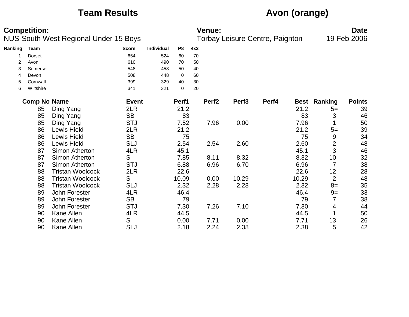# **Team Results Avon (orange)**

| <b>Competition:</b><br>NUS-South West Regional Under 15 Boys |                     |                         |              | <b>Venue:</b><br>Torbay Leisure Centre, Paignton |             |     |                   |                   |       |             | <b>Date</b>    |               |
|--------------------------------------------------------------|---------------------|-------------------------|--------------|--------------------------------------------------|-------------|-----|-------------------|-------------------|-------|-------------|----------------|---------------|
|                                                              |                     |                         |              |                                                  |             |     |                   |                   |       |             |                | 19 Feb 2006   |
| Ranking                                                      | <b>Team</b>         |                         | <b>Score</b> | <b>Individual</b>                                | P8          | 4x2 |                   |                   |       |             |                |               |
|                                                              | <b>Dorset</b>       |                         | 654          | 524                                              | 60          | 70  |                   |                   |       |             |                |               |
| 2                                                            | Avon                |                         | 610          | 490                                              | 70          | 50  |                   |                   |       |             |                |               |
| 3                                                            | Somerset            |                         | 548          | 458                                              | 50          | 40  |                   |                   |       |             |                |               |
| 4                                                            | Devon               |                         | 508          | 448                                              | 0           | 60  |                   |                   |       |             |                |               |
| 5                                                            | Cornwall            |                         | 399          | 329                                              | 40          | 30  |                   |                   |       |             |                |               |
| 6                                                            | Wiltshire           |                         | 341          | 321                                              | $\mathbf 0$ | 20  |                   |                   |       |             |                |               |
|                                                              | <b>Comp No Name</b> |                         | <b>Event</b> |                                                  | Perf1       |     | Perf <sub>2</sub> | Perf <sub>3</sub> | Perf4 | <b>Best</b> | Ranking        | <b>Points</b> |
|                                                              | 85                  | Ding Yang               | 2LR          |                                                  | 21.2        |     |                   |                   |       | 21.2        | $5=$           | 39            |
|                                                              | 85                  | Ding Yang               | <b>SB</b>    |                                                  | 83          |     |                   |                   |       | 83          | 3              | 46            |
|                                                              | 85                  | Ding Yang               | <b>STJ</b>   |                                                  | 7.52        |     | 7.96              | 0.00              |       | 7.96        | 1              | 50            |
|                                                              | 86                  | <b>Lewis Hield</b>      | 2LR          |                                                  | 21.2        |     |                   |                   |       | 21.2        | $5=$           | 39            |
|                                                              | 86                  | Lewis Hield             | <b>SB</b>    |                                                  | 75          |     |                   |                   |       | 75          | 9              | 34            |
|                                                              | 86                  | <b>Lewis Hield</b>      | SLJ          |                                                  | 2.54        |     | 2.54              | 2.60              |       | 2.60        | $\overline{2}$ | 48            |
|                                                              | 87                  | Simon Atherton          | 4LR          |                                                  | 45.1        |     |                   |                   |       | 45.1        | 3              | 46            |
|                                                              | 87                  | Simon Atherton          | S            |                                                  | 7.85        |     | 8.11              | 8.32              |       | 8.32        | 10             | 32            |
|                                                              | 87                  | Simon Atherton          | <b>STJ</b>   |                                                  | 6.88        |     | 6.96              | 6.70              |       | 6.96        | $\overline{7}$ | 38            |
|                                                              | 88                  | <b>Tristan Woolcock</b> | 2LR          |                                                  | 22.6        |     |                   |                   |       | 22.6        | 12             | 28            |
|                                                              | 88                  | <b>Tristan Woolcock</b> | S            |                                                  | 10.09       |     | 0.00              | 10.29             |       | 10.29       | $\overline{2}$ | 48            |
|                                                              | 88                  | <b>Tristan Woolcock</b> | <b>SLJ</b>   |                                                  | 2.32        |     | 2.28              | 2.28              |       | 2.32        | $8=$           | 35            |
|                                                              | 89                  | John Forester           | 4LR          |                                                  | 46.4        |     |                   |                   |       | 46.4        | $9=$           | 33            |
|                                                              | 89                  | John Forester           | <b>SB</b>    |                                                  | 79          |     |                   |                   |       | 79          | 7              | 38            |
|                                                              | 89                  | John Forester           | <b>STJ</b>   |                                                  | 7.30        |     | 7.26              | 7.10              |       | 7.30        | 4              | 44            |
|                                                              | 90                  | Kane Allen              | 4LR          |                                                  | 44.5        |     |                   |                   |       | 44.5        | 1              | 50            |
|                                                              | 90                  | <b>Kane Allen</b>       | S            |                                                  | 0.00        |     | 7.71              | 0.00              |       | 7.71        | 13             | 26            |
|                                                              | 90                  | Kane Allen              | <b>SLJ</b>   |                                                  | 2.18        |     | 2.24              | 2.38              |       | 2.38        | 5              | 42            |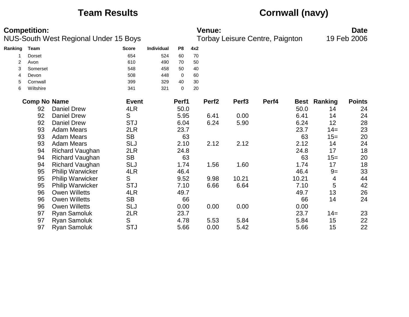# **Team Results Cornwall (navy)**

| <b>Competition:</b><br>NUS-South West Regional Under 15 Boys |                       |                         |              |            |                   | <b>Venue:</b> | <b>Date</b><br>19 Feb 2006 |                                 |       |       |                     |               |
|--------------------------------------------------------------|-----------------------|-------------------------|--------------|------------|-------------------|---------------|----------------------------|---------------------------------|-------|-------|---------------------|---------------|
|                                                              |                       |                         |              |            |                   |               |                            | Torbay Leisure Centre, Paignton |       |       |                     |               |
| Ranking                                                      | <b>Team</b>           |                         | <b>Score</b> | Individual | P8                | 4x2           |                            |                                 |       |       |                     |               |
|                                                              | <b>Dorset</b>         |                         | 654          | 524        | 60                | 70            |                            |                                 |       |       |                     |               |
| $\overline{2}$                                               | Avon                  |                         | 610          | 490        | 70                | 50            |                            |                                 |       |       |                     |               |
| 3                                                            | Somerset              |                         | 548          | 458        | 50                | 40            |                            |                                 |       |       |                     |               |
| 4                                                            | Devon                 |                         | 508          | 448        | $\pmb{0}$         | 60            |                            |                                 |       |       |                     |               |
| 5<br>6                                                       | Cornwall<br>Wiltshire |                         | 399<br>341   | 329<br>321 | 40<br>$\mathbf 0$ | 30<br>20      |                            |                                 |       |       |                     |               |
|                                                              |                       |                         |              |            |                   |               |                            |                                 |       |       |                     |               |
|                                                              | <b>Comp No Name</b>   |                         | <b>Event</b> |            | Perf1             |               | Perf <sub>2</sub>          | Perf <sub>3</sub>               | Perf4 |       | <b>Best Ranking</b> | <b>Points</b> |
|                                                              | 92                    | <b>Daniel Drew</b>      | 4LR          |            | 50.0              |               |                            |                                 |       | 50.0  | 14                  | 24            |
|                                                              | 92                    | <b>Daniel Drew</b>      | S            |            | 5.95              |               | 6.41                       | 0.00                            |       | 6.41  | 14                  | 24            |
|                                                              | 92                    | <b>Daniel Drew</b>      | <b>STJ</b>   |            | 6.04              |               | 6.24                       | 5.90                            |       | 6.24  | 12                  | 28            |
|                                                              | 93                    | <b>Adam Mears</b>       | 2LR          |            | 23.7              |               |                            |                                 |       | 23.7  | $14=$               | 23            |
|                                                              | 93                    | <b>Adam Mears</b>       | <b>SB</b>    |            | 63                |               |                            |                                 |       | 63    | $15=$               | 20            |
|                                                              | 93                    | <b>Adam Mears</b>       | <b>SLJ</b>   |            | 2.10              |               | 2.12                       | 2.12                            |       | 2.12  | 14                  | 24            |
|                                                              | 94                    | <b>Richard Vaughan</b>  | 2LR          |            | 24.8              |               |                            |                                 |       | 24.8  | 17                  | 18            |
|                                                              | 94                    | <b>Richard Vaughan</b>  | <b>SB</b>    |            | 63                |               |                            |                                 |       | 63    | $15=$               | 20            |
|                                                              | 94                    | <b>Richard Vaughan</b>  | <b>SLJ</b>   |            | 1.74              |               | 1.56                       | 1.60                            |       | 1.74  | 17                  | 18            |
|                                                              | 95                    | <b>Philip Warwicker</b> | 4LR          |            | 46.4              |               |                            |                                 |       | 46.4  | $9=$                | 33            |
|                                                              | 95                    | <b>Philip Warwicker</b> | S            |            | 9.52              |               | 9.98                       | 10.21                           |       | 10.21 | 4                   | 44            |
|                                                              | 95                    | <b>Philip Warwicker</b> | <b>STJ</b>   |            | 7.10              |               | 6.66                       | 6.64                            |       | 7.10  | 5                   | 42            |
|                                                              | 96                    | <b>Owen Willetts</b>    | 4LR          |            | 49.7              |               |                            |                                 |       | 49.7  | 13                  | 26            |
|                                                              | 96                    | <b>Owen Willetts</b>    | <b>SB</b>    |            | 66                |               |                            |                                 |       | 66    | 14                  | 24            |
|                                                              | 96                    | <b>Owen Willetts</b>    | <b>SLJ</b>   |            | 0.00              |               | 0.00                       | 0.00                            |       | 0.00  |                     |               |
|                                                              | 97                    | <b>Ryan Samoluk</b>     | 2LR          |            | 23.7              |               |                            |                                 |       | 23.7  | $14=$               | 23            |
|                                                              | 97                    | <b>Ryan Samoluk</b>     | S            |            | 4.78              |               | 5.53                       | 5.84                            |       | 5.84  | 15                  | 22            |
|                                                              | 97                    | <b>Ryan Samoluk</b>     | <b>STJ</b>   |            | 5.66              |               | 0.00                       | 5.42                            |       | 5.66  | 15                  | 22            |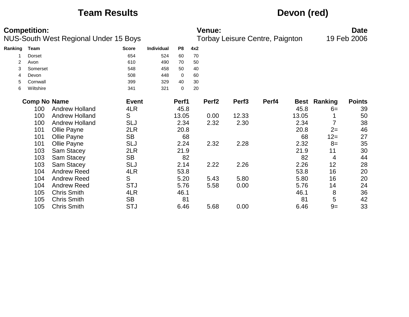# **Team Results Devon (red)**

| <b>Competition:</b> |                     |                                       |              |                   |       | <b>Venue:</b> |                   |                                 |       |       |                     | <b>Date</b>   |  |  |
|---------------------|---------------------|---------------------------------------|--------------|-------------------|-------|---------------|-------------------|---------------------------------|-------|-------|---------------------|---------------|--|--|
|                     |                     | NUS-South West Regional Under 15 Boys |              |                   |       |               |                   | Torbay Leisure Centre, Paignton |       |       |                     | 19 Feb 2006   |  |  |
| Ranking             | Team                |                                       | <b>Score</b> | <b>Individual</b> | P8    | 4x2           |                   |                                 |       |       |                     |               |  |  |
|                     | Dorset              |                                       | 654          | 524               | 60    | 70            |                   |                                 |       |       |                     |               |  |  |
| 2                   | Avon                |                                       | 610          | 490               | 70    | 50            |                   |                                 |       |       |                     |               |  |  |
| 3                   | Somerset            |                                       | 548          | 458               | 50    | 40            |                   |                                 |       |       |                     |               |  |  |
| 4                   | Devon               |                                       | 508          | 448               | 0     | 60            |                   |                                 |       |       |                     |               |  |  |
| 5                   | Cornwall            |                                       | 399          | 329               | 40    | 30            |                   |                                 |       |       |                     |               |  |  |
| 6                   | Wiltshire           |                                       | 341          | 321               | 0     | 20            |                   |                                 |       |       |                     |               |  |  |
|                     | <b>Comp No Name</b> |                                       | <b>Event</b> |                   | Perf1 |               | Perf <sub>2</sub> | Perf <sub>3</sub>               | Perf4 |       | <b>Best Ranking</b> | <b>Points</b> |  |  |
|                     | 100                 | <b>Andrew Holland</b>                 | 4LR          |                   | 45.8  |               |                   |                                 |       | 45.8  | $6=$                | 39            |  |  |
|                     | 100                 | <b>Andrew Holland</b>                 | S            |                   | 13.05 |               | 0.00              | 12.33                           |       | 13.05 |                     | 50            |  |  |
|                     | 100                 | <b>Andrew Holland</b>                 | SLJ          |                   | 2.34  |               | 2.32              | 2.30                            |       | 2.34  |                     | 38            |  |  |
|                     | 101                 | Ollie Payne                           | 2LR          |                   | 20.8  |               |                   |                                 |       | 20.8  | $2=$                | 46            |  |  |
|                     | 101                 | Ollie Payne                           | <b>SB</b>    |                   | 68    |               |                   |                                 |       | 68    | $12 =$              | 27            |  |  |
|                     | 101                 | Ollie Payne                           | <b>SLJ</b>   |                   | 2.24  |               | 2.32              | 2.28                            |       | 2.32  | $8=$                | 35            |  |  |
|                     | 103                 | Sam Stacey                            | 2LR          |                   | 21.9  |               |                   |                                 |       | 21.9  | 11                  | 30            |  |  |
|                     | 103                 | Sam Stacey                            | <b>SB</b>    |                   | 82    |               |                   |                                 |       | 82    | 4                   | 44            |  |  |
|                     | 103                 | Sam Stacey                            | <b>SLJ</b>   |                   | 2.14  |               | 2.22              | 2.26                            |       | 2.26  | 12                  | 28            |  |  |
|                     | 104                 | <b>Andrew Reed</b>                    | 4LR          |                   | 53.8  |               |                   |                                 |       | 53.8  | 16                  | 20            |  |  |
|                     | 104                 | <b>Andrew Reed</b>                    | S            |                   | 5.20  |               | 5.43              | 5.80                            |       | 5.80  | 16                  | 20            |  |  |
|                     | 104                 | <b>Andrew Reed</b>                    | <b>STJ</b>   |                   | 5.76  |               | 5.58              | 0.00                            |       | 5.76  | 14                  | 24            |  |  |
|                     | 105                 | <b>Chris Smith</b>                    | 4LR          |                   | 46.1  |               |                   |                                 |       | 46.1  | 8                   | 36            |  |  |
|                     | 105                 | <b>Chris Smith</b>                    | <b>SB</b>    |                   | 81    |               |                   |                                 |       | 81    | 5                   | 42            |  |  |
|                     | 105                 | <b>Chris Smith</b>                    | <b>STJ</b>   |                   | 6.46  |               | 5.68              | 0.00                            |       | 6.46  | $9=$                | 33            |  |  |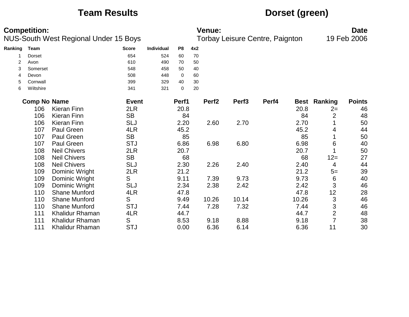# **Team Results Dorset (green)**

| <b>Competition:</b><br>NUS-South West Regional Under 15 Boys |                     |                      |              |                   |             | <b>Venue:</b><br>Torbay Leisure Centre, Paignton | <b>Date</b><br>19 Feb 2006 |                   |       |       |                     |               |
|--------------------------------------------------------------|---------------------|----------------------|--------------|-------------------|-------------|--------------------------------------------------|----------------------------|-------------------|-------|-------|---------------------|---------------|
| Ranking                                                      | Team                |                      | <b>Score</b> | <b>Individual</b> | P8          | 4x2                                              |                            |                   |       |       |                     |               |
|                                                              | <b>Dorset</b>       |                      | 654          | 524               | 60          | 70                                               |                            |                   |       |       |                     |               |
| 2                                                            | Avon                |                      | 610          | 490               | 70          | 50                                               |                            |                   |       |       |                     |               |
| 3                                                            | Somerset            |                      | 548          | 458               | 50          | 40                                               |                            |                   |       |       |                     |               |
| 4                                                            | Devon               |                      | 508          | 448               | $\mathbf 0$ | 60                                               |                            |                   |       |       |                     |               |
| 5                                                            | Cornwall            |                      | 399          | 329               | 40          | 30                                               |                            |                   |       |       |                     |               |
| 6                                                            | Wiltshire           |                      | 341          | 321               | $\mathbf 0$ | 20                                               |                            |                   |       |       |                     |               |
|                                                              | <b>Comp No Name</b> |                      | <b>Event</b> |                   | Perf1       |                                                  | Perf <sub>2</sub>          | Perf <sub>3</sub> | Perf4 |       | <b>Best Ranking</b> | <b>Points</b> |
|                                                              | 106                 | <b>Kieran Finn</b>   | 2LR          |                   | 20.8        |                                                  |                            |                   |       | 20.8  | $2=$                | 46            |
|                                                              | 106                 | <b>Kieran Finn</b>   | <b>SB</b>    |                   | 84          |                                                  |                            |                   |       | 84    | 2                   | 48            |
|                                                              | 106                 | <b>Kieran Finn</b>   | <b>SLJ</b>   |                   | 2.20        |                                                  | 2.60                       | 2.70              |       | 2.70  |                     | 50            |
|                                                              | 107                 | Paul Green           | 4LR          |                   | 45.2        |                                                  |                            |                   |       | 45.2  | 4                   | 44            |
|                                                              | 107                 | Paul Green           | <b>SB</b>    |                   | 85          |                                                  |                            |                   |       | 85    |                     | 50            |
|                                                              | 107                 | Paul Green           | <b>STJ</b>   |                   | 6.86        |                                                  | 6.98                       | 6.80              |       | 6.98  | 6                   | 40            |
|                                                              | 108                 | <b>Neil Chivers</b>  | 2LR          |                   | 20.7        |                                                  |                            |                   |       | 20.7  |                     | 50            |
|                                                              | 108                 | <b>Neil Chivers</b>  | <b>SB</b>    |                   | 68          |                                                  |                            |                   |       | 68    | $12 =$              | 27            |
|                                                              | 108                 | <b>Neil Chivers</b>  | <b>SLJ</b>   |                   | 2.30        |                                                  | 2.26                       | 2.40              |       | 2.40  | 4                   | 44            |
|                                                              | 109                 | Dominic Wright       | 2LR          |                   | 21.2        |                                                  |                            |                   |       | 21.2  | $5=$                | 39            |
|                                                              | 109                 | Dominic Wright       | S            |                   | 9.11        |                                                  | 7.39                       | 9.73              |       | 9.73  | 6                   | 40            |
|                                                              | 109                 | Dominic Wright       | <b>SLJ</b>   |                   | 2.34        |                                                  | 2.38                       | 2.42              |       | 2.42  | 3                   | 46            |
|                                                              | 110                 | <b>Shane Munford</b> | 4LR          |                   | 47.8        |                                                  |                            |                   |       | 47.8  | 12                  | 28            |
|                                                              | 110                 | <b>Shane Munford</b> | S            |                   | 9.49        |                                                  | 10.26                      | 10.14             |       | 10.26 | 3                   | 46            |
|                                                              | 110                 | <b>Shane Munford</b> | <b>STJ</b>   |                   | 7.44        |                                                  | 7.28                       | 7.32              |       | 7.44  | 3                   | 46            |
|                                                              | 111                 | Khalidur Rhaman      | 4LR          |                   | 44.7        |                                                  |                            |                   |       | 44.7  | $\overline{2}$      | 48            |
|                                                              | 111                 | Khalidur Rhaman      | S            |                   | 8.53        |                                                  | 9.18                       | 8.88              |       | 9.18  | $\overline{7}$      | 38            |
|                                                              | 111                 | Khalidur Rhaman      | <b>STJ</b>   |                   | 0.00        |                                                  | 6.36                       | 6.14              |       | 6.36  | 11                  | 30            |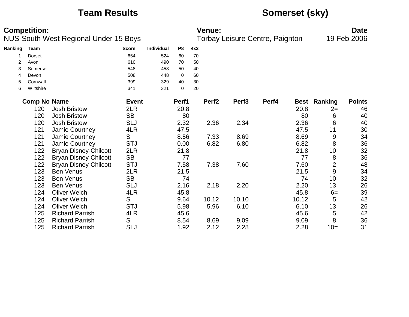# **Team Results Somerset (sky)**

| <b>Competition:</b><br>NUS-South West Regional Under 15 Boys |                     |                              |              | <b>Venue:</b><br>Torbay Leisure Centre, Paignton |       |     |                   |                   |       |       | <b>Date</b><br>19 Feb 2006 |               |
|--------------------------------------------------------------|---------------------|------------------------------|--------------|--------------------------------------------------|-------|-----|-------------------|-------------------|-------|-------|----------------------------|---------------|
| Ranking                                                      | <b>Team</b>         |                              | <b>Score</b> | <b>Individual</b>                                | P8    | 4x2 |                   |                   |       |       |                            |               |
|                                                              | Dorset              |                              | 654          | 524                                              | 60    | 70  |                   |                   |       |       |                            |               |
| $\overline{2}$                                               | Avon                |                              | 610          | 490                                              | 70    | 50  |                   |                   |       |       |                            |               |
| 3                                                            | Somerset            |                              | 548          | 458                                              | 50    | 40  |                   |                   |       |       |                            |               |
| 4                                                            | Devon               |                              | 508          | 448                                              | 0     | 60  |                   |                   |       |       |                            |               |
| 5                                                            | Cornwall            |                              | 399          | 329                                              | 40    | 30  |                   |                   |       |       |                            |               |
| 6                                                            | Wiltshire           |                              | 341          | 321                                              | 0     | 20  |                   |                   |       |       |                            |               |
|                                                              | <b>Comp No Name</b> |                              | <b>Event</b> |                                                  | Perf1 |     | Perf <sub>2</sub> | Perf <sub>3</sub> | Perf4 |       | <b>Best Ranking</b>        | <b>Points</b> |
|                                                              | 120                 | <b>Josh Bristow</b>          | 2LR          |                                                  | 20.8  |     |                   |                   |       | 20.8  | $2=$                       | 46            |
|                                                              | 120                 | <b>Josh Bristow</b>          | <b>SB</b>    |                                                  | 80    |     |                   |                   |       | 80    | 6                          | 40            |
|                                                              | 120                 | <b>Josh Bristow</b>          | <b>SLJ</b>   |                                                  | 2.32  |     | 2.36              | 2.34              |       | 2.36  | 6                          | 40            |
|                                                              | 121                 | Jamie Courtney               | 4LR          |                                                  | 47.5  |     |                   |                   |       | 47.5  | 11                         | 30            |
|                                                              | 121                 | Jamie Courtney               | S            |                                                  | 8.56  |     | 7.33              | 8.69              |       | 8.69  | 9                          | 34            |
|                                                              | 121                 | Jamie Courtney               | <b>STJ</b>   |                                                  | 0.00  |     | 6.82              | 6.80              |       | 6.82  | 8                          | 36            |
|                                                              | 122                 | <b>Bryan Disney-Chilcott</b> | 2LR          |                                                  | 21.8  |     |                   |                   |       | 21.8  | 10                         | 32            |
|                                                              | 122                 | <b>Bryan Disney-Chilcott</b> | <b>SB</b>    |                                                  | 77    |     |                   |                   |       | 77    | 8                          | 36            |
|                                                              | 122                 | <b>Bryan Disney-Chilcott</b> | <b>STJ</b>   |                                                  | 7.58  |     | 7.38              | 7.60              |       | 7.60  | $\overline{2}$             | 48            |
|                                                              | 123                 | <b>Ben Venus</b>             | 2LR          |                                                  | 21.5  |     |                   |                   |       | 21.5  | 9                          | 34            |
|                                                              | 123                 | <b>Ben Venus</b>             | <b>SB</b>    |                                                  | 74    |     |                   |                   |       | 74    | 10                         | 32            |
|                                                              | 123                 | <b>Ben Venus</b>             | <b>SLJ</b>   |                                                  | 2.16  |     | 2.18              | 2.20              |       | 2.20  | 13                         | 26            |
|                                                              | 124                 | <b>Oliver Welch</b>          | 4LR          |                                                  | 45.8  |     |                   |                   |       | 45.8  | $6=$                       | 39            |
|                                                              | 124                 | <b>Oliver Welch</b>          | S            |                                                  | 9.64  |     | 10.12             | 10.10             |       | 10.12 | 5                          | 42            |
|                                                              | 124                 | <b>Oliver Welch</b>          | <b>STJ</b>   |                                                  | 5.98  |     | 5.96              | 6.10              |       | 6.10  | 13                         | 26            |
|                                                              | 125                 | <b>Richard Parrish</b>       | 4LR          |                                                  | 45.6  |     |                   |                   |       | 45.6  | 5                          | 42            |
|                                                              | 125                 | <b>Richard Parrish</b>       | S            |                                                  | 8.54  |     | 8.69              | 9.09              |       | 9.09  | 8                          | 36            |
|                                                              | 125                 | <b>Richard Parrish</b>       | <b>SLJ</b>   |                                                  | 1.92  |     | 2.12              | 2.28              |       | 2.28  | $10=$                      | 31            |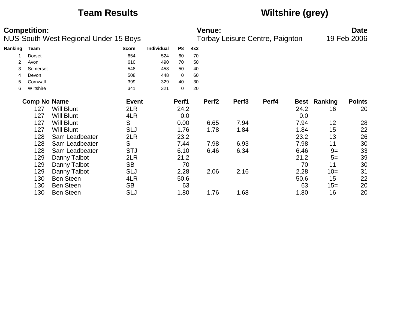# **Team Results Wiltshire (grey)**

|         | <b>Competition:</b><br><b>NUS-South West Regional Under 15 Boys</b> |                   |              |                   |       |     | <b>Venue:</b><br><b>Torbay Leisure Centre, Paignton</b> | <b>Date</b><br>19 Feb 2006 |       |             |         |               |
|---------|---------------------------------------------------------------------|-------------------|--------------|-------------------|-------|-----|---------------------------------------------------------|----------------------------|-------|-------------|---------|---------------|
| Ranking | Team                                                                |                   | <b>Score</b> | <b>Individual</b> | P8    | 4x2 |                                                         |                            |       |             |         |               |
|         | Dorset                                                              |                   | 654          | 524               | 60    | 70  |                                                         |                            |       |             |         |               |
| 2       | Avon                                                                |                   | 610          | 490               | 70    | 50  |                                                         |                            |       |             |         |               |
| 3       | Somerset                                                            |                   | 548          | 458               | 50    | 40  |                                                         |                            |       |             |         |               |
| 4       | Devon                                                               |                   | 508          | 448               | 0     | 60  |                                                         |                            |       |             |         |               |
| 5       | Cornwall                                                            |                   | 399          | 329               | 40    | 30  |                                                         |                            |       |             |         |               |
| 6       | Wiltshire                                                           |                   | 341          | 321               | 0     | 20  |                                                         |                            |       |             |         |               |
|         | <b>Comp No Name</b>                                                 |                   | <b>Event</b> |                   | Perf1 |     | Perf <sub>2</sub>                                       | Perf <sub>3</sub>          | Perf4 | <b>Best</b> | Ranking | <b>Points</b> |
|         | 127                                                                 | <b>Will Blunt</b> | 2LR          |                   | 24.2  |     |                                                         |                            |       | 24.2        | 16      | 20            |
|         | 127                                                                 | <b>Will Blunt</b> | 4LR          |                   | 0.0   |     |                                                         |                            |       | 0.0         |         |               |
|         | 127                                                                 | <b>Will Blunt</b> | S            |                   | 0.00  |     | 6.65                                                    | 7.94                       |       | 7.94        | 12      | 28            |
|         | 127                                                                 | <b>Will Blunt</b> | <b>SLJ</b>   |                   | 1.76  |     | 1.78                                                    | 1.84                       |       | 1.84        | 15      | 22            |
|         | 128                                                                 | Sam Leadbeater    | 2LR          |                   | 23.2  |     |                                                         |                            |       | 23.2        | 13      | 26            |
|         | 128                                                                 | Sam Leadbeater    | S            |                   | 7.44  |     | 7.98                                                    | 6.93                       |       | 7.98        | 11      | 30            |
|         | 128                                                                 | Sam Leadbeater    | <b>STJ</b>   |                   | 6.10  |     | 6.46                                                    | 6.34                       |       | 6.46        | $9=$    | 33            |
|         | 129                                                                 | Danny Talbot      | 2LR          |                   | 21.2  |     |                                                         |                            |       | 21.2        | $5=$    | 39            |
|         | 129                                                                 | Danny Talbot      | <b>SB</b>    |                   | 70    |     |                                                         |                            |       | 70          | 11      | 30            |
|         | 129                                                                 | Danny Talbot      | <b>SLJ</b>   |                   | 2.28  |     | 2.06                                                    | 2.16                       |       | 2.28        | $10=$   | 31            |
|         | 130                                                                 | <b>Ben Steen</b>  | 4LR          |                   | 50.6  |     |                                                         |                            |       | 50.6        | 15      | 22            |
|         | 130                                                                 | <b>Ben Steen</b>  | <b>SB</b>    |                   | 63    |     |                                                         |                            |       | 63          | $15=$   | 20            |
|         | 130                                                                 | <b>Ben Steen</b>  | SLJ          |                   | 1.80  |     | 1.76                                                    | 1.68                       |       | 1.80        | 16      | 20            |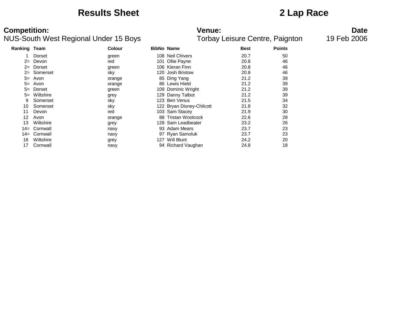### **Results Sheet 2 Lap Race**

### NUS-South West Regional Under 15 Boys

# **Competition:**<br>**Date**<br>Torbay Leisure Centre, Paignton 19 Feb 2006<br>Torbay Leisure Centre, Paignton 19 Feb 2006

| Ranking | Team      | <b>Colour</b> | <b>BibNo Name</b> |                           | <b>Best</b> | <b>Points</b> |
|---------|-----------|---------------|-------------------|---------------------------|-------------|---------------|
|         | Dorset    | green         |                   | 108 Neil Chivers          | 20.7        | 50            |
| $2=$    | Devon     | red           | 101               | Ollie Payne               | 20.8        | 46            |
| $2=$    | Dorset    | green         |                   | 106 Kieran Finn           | 20.8        | 46            |
| $2 =$   | Somerset  | sky           |                   | 120 Josh Bristow          | 20.8        | 46            |
| $5=$    | Avon      | orange        |                   | 85 Ding Yang              | 21.2        | 39            |
| $5=$    | Avon      | orange        |                   | 86 Lewis Hield            | 21.2        | 39            |
| $5=$    | Dorset    | green         |                   | 109 Dominic Wright        | 21.2        | 39            |
| $5=$    | Wiltshire | grey          |                   | 129 Danny Talbot          | 21.2        | 39            |
| 9       | Somerset  | sky           | 123               | Ben Venus                 | 21.5        | 34            |
| 10      | Somerset  | sky           |                   | 122 Bryan Disney-Chilcott | 21.8        | 32            |
| 11      | Devon     | red           |                   | 103 Sam Stacey            | 21.9        | 30            |
| 12      | Avon      | orange        | 88                | <b>Tristan Woolcock</b>   | 22.6        | 28            |
| 13      | Wiltshire | grey          |                   | 128 Sam Leadbeater        | 23.2        | 26            |
| $14 =$  | Cornwall  | navy          |                   | 93 Adam Mears             | 23.7        | 23            |
| $14 =$  | Cornwall  | navy          |                   | 97 Ryan Samoluk           | 23.7        | 23            |
| 16      | Wiltshire | grey          | 127               | Will Blunt                | 24.2        | 20            |
| 17      | Cornwall  | navy          |                   | 94 Richard Vaughan        | 24.8        | 18            |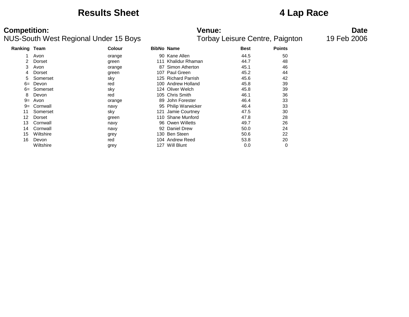### **Results Sheet 4 Lap Race**

| Ranking Team |           | <b>Colour</b> | <b>BibNo Name</b> |                      | <b>Best</b> | <b>Points</b> |
|--------------|-----------|---------------|-------------------|----------------------|-------------|---------------|
|              | Avon      | orange        |                   | 90 Kane Allen        | 44.5        | 50            |
| 2            | Dorset    | green         | 111               | Khalidur Rhaman      | 44.7        | 48            |
| 3            | Avon      | orange        | 87                | Simon Atherton       | 45.1        | 46            |
| 4            | Dorset    | green         | 107               | Paul Green           | 45.2        | 44            |
| 5            | Somerset  | sky           |                   | 125 Richard Parrish  | 45.6        | 42            |
| $6=$         | Devon     | red           | 100               | Andrew Holland       | 45.8        | 39            |
| $6=$         | Somerset  | sky           |                   | 124 Oliver Welch     | 45.8        | 39            |
| 8            | Devon     | red           |                   | 105 Chris Smith      | 46.1        | 36            |
| $9=$         | Avon      | orange        | 89                | John Forester        | 46.4        | 33            |
| $9=$         | Cornwall  | navy          |                   | 95 Philip Warwicker  | 46.4        | 33            |
| 11           | Somerset  | sky           | 121               | Jamie Courtney       | 47.5        | 30            |
| 12           | Dorset    | green         | 110               | <b>Shane Munford</b> | 47.8        | 28            |
| 13           | Cornwall  | navy          |                   | 96 Owen Willetts     | 49.7        | 26            |
| 14           | Cornwall  | navy          | 92                | Daniel Drew          | 50.0        | 24            |
| 15           | Wiltshire | grey          | 130               | <b>Ben Steen</b>     | 50.6        | 22            |
| 16           | Devon     | red           |                   | 104 Andrew Reed      | 53.8        | 20            |
|              | Wiltshire | grey          | 127               | Will Blunt           | 0.0         | 0             |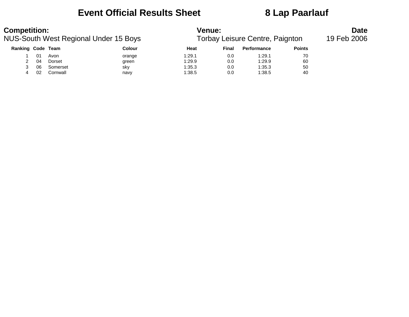### **Event Official Results Sheet 8 Lap Paarlauf**

### **Competition:**<br>**Date**<br>**NUS-South West Regional Under 15 Boys Date**<br>**Torbay Leisure Centre, Paignton** 19 Feb 2006 NUS-South West Regional Under 15 Boys **Ranking Code Team Colour Colour Heat Final Performance Points** 1 01 Avon orange 1:29.1 0.0 1:29.1 70 2 04 Dorset green 1:29.9 0.0 1:29.9 60 3 06 Somerset sky 1:35.3 0.0 1:35.3 50

4 02 Cornwall navy 1:38.5 0.0 1:38.5 40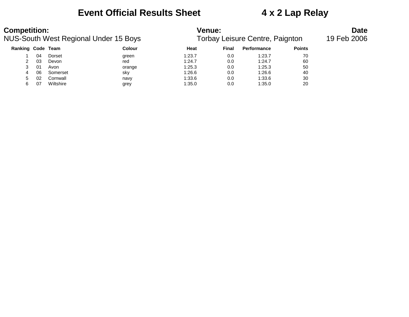### **Event Official Results Sheet 4 x 2 Lap Relay**

| <b>Competition:</b><br><b>NUS-South West Regional Under 15 Boys</b><br><b>Ranking Code Team</b> |    |           |        | <b>Venue:</b><br>Torbay Leisure Centre, Paignton | <b>Date</b><br>19 Feb 2006 |                    |               |  |
|-------------------------------------------------------------------------------------------------|----|-----------|--------|--------------------------------------------------|----------------------------|--------------------|---------------|--|
|                                                                                                 |    |           | Colour | Heat                                             | Final                      | <b>Performance</b> | <b>Points</b> |  |
|                                                                                                 | 04 | Dorset    | green  | 1:23.7                                           | 0.0                        | 1:23.7             | 70            |  |
| 2                                                                                               | 03 | Devon     | red    | 1:24.7                                           | 0.0                        | 1:24.7             | 60            |  |
| 3                                                                                               | 01 | Avon      | orange | 1:25.3                                           | 0.0                        | 1:25.3             | 50            |  |
| 4                                                                                               | 06 | Somerset  | sky    | 1:26.6                                           | 0.0                        | 1:26.6             | 40            |  |
| 5                                                                                               | 02 | Cornwall  | navy   | 1:33.6                                           | 0.0                        | 1:33.6             | 30            |  |
| 6                                                                                               | 07 | Wiltshire | grey   | 1:35.0                                           | 0.0                        | 1:35.0             | 20            |  |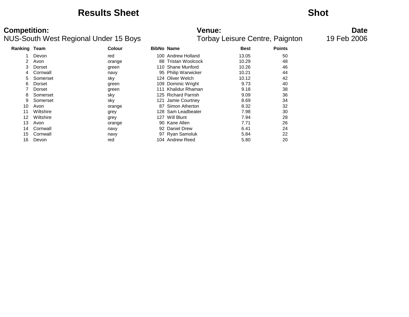### **Results Sheet Shot**

### NUS-South West Regional Under 15 Boys Torbay Leisure Centre, Paignton 19 Feb 2006

# **Competition: Venue: Date**

| <b>Ranking Team</b> |           | <b>Colour</b> | <b>BibNo Name</b> |                     | <b>Best</b> | <b>Points</b> |
|---------------------|-----------|---------------|-------------------|---------------------|-------------|---------------|
|                     | Devon     | red           |                   | 100 Andrew Holland  | 13.05       | 50            |
| 2                   | Avon      | orange        | 88                | Tristan Woolcock    | 10.29       | 48            |
| 3                   | Dorset    | green         |                   | 110 Shane Munford   | 10.26       | 46            |
| 4                   | Cornwall  | navy          |                   | 95 Philip Warwicker | 10.21       | 44            |
| 5.                  | Somerset  | sky           |                   | 124 Oliver Welch    | 10.12       | 42            |
| 6                   | Dorset    | green         |                   | 109 Dominic Wright  | 9.73        | 40            |
|                     | Dorset    | green         | 111               | Khalidur Rhaman     | 9.18        | 38            |
| 8                   | Somerset  | sky           |                   | 125 Richard Parrish | 9.09        | 36            |
| 9                   | Somerset  | sky           | 121               | Jamie Courtney      | 8.69        | 34            |
| 10                  | Avon      | orange        |                   | 87 Simon Atherton   | 8.32        | 32            |
| 11                  | Wiltshire | grey          |                   | 128 Sam Leadbeater  | 7.98        | 30            |
| 12                  | Wiltshire | grey          |                   | 127 Will Blunt      | 7.94        | 28            |
| 13                  | Avon      | orange        |                   | 90 Kane Allen       | 7.71        | 26            |
| 14                  | Cornwall  | navy          |                   | 92 Daniel Drew      | 6.41        | 24            |
| 15                  | Cornwall  | navy          |                   | 97 Ryan Samoluk     | 5.84        | 22            |
| 16                  | Devon     | red           |                   | 104 Andrew Reed     | 5.80        | 20            |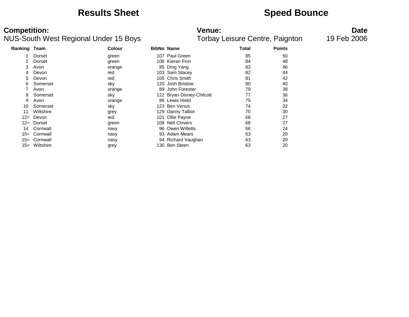### **Results Sheet Speed Bounce**

### NUS-South West Regional Under 15 Boys

**Competition:**<br>**Date**<br>Torbay Leisure Centre, Paignton 19 Feb 2006<br>Torbay Leisure Centre, Paignton 19 Feb 2006

| Ranking Team |           | <b>Colour</b> | <b>BibNo Name</b> |                           | <b>Total</b> | <b>Points</b> |
|--------------|-----------|---------------|-------------------|---------------------------|--------------|---------------|
|              | Dorset    | green         |                   | 107 Paul Green            | 85           | 50            |
|              | Dorset    | green         |                   | 106 Kieran Finn           | 84           | 48            |
| 3            | Avon      | orange        |                   | 85 Ding Yang              | 83           | 46            |
| 4            | Devon     | red           |                   | 103 Sam Stacey            | 82           | 44            |
| 5.           | Devon     | red           |                   | 105 Chris Smith           | 81           | 42            |
| 6            | Somerset  | sky           | 120               | <b>Josh Bristow</b>       | 80           | 40            |
|              | Avon      | orange        | 89                | John Forester             | 79           | 38            |
| 8            | Somerset  | sky           |                   | 122 Bryan Disney-Chilcott | 77           | 36            |
| 9            | Avon      | orange        |                   | 86 Lewis Hield            | 75           | 34            |
| 10           | Somerset  | sky           | 123.              | Ben Venus                 | 74           | 32            |
| 11           | Wiltshire | grey          |                   | 129 Danny Talbot          | 70           | 30            |
| $12 =$       | Devon     | red           |                   | 101 Ollie Payne           | 68           | 27            |
| $12 =$       | Dorset    | green         |                   | 108 Neil Chivers          | 68           | 27            |
| 14           | Cornwall  | navy          |                   | 96 Owen Willetts          | 66           | 24            |
| $15=$        | Cornwall  | navy          |                   | 93 Adam Mears             | 63           | 20            |
| $15 =$       | Cornwall  | navy          |                   | 94 Richard Vaughan        | 63           | 20            |
| $15 =$       | Wiltshire | grey          | 130.              | Ben Steen                 | 63           | 20            |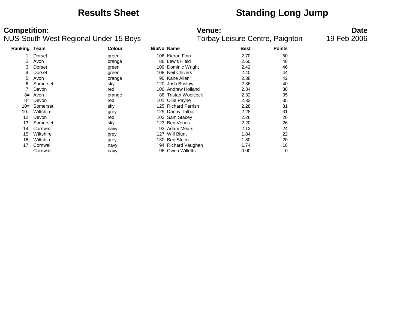## **Results Sheet Standing Long Jump**

| Ranking Team |           | <b>Colour</b> | <b>BibNo Name</b> |                         | <b>Best</b> | <b>Points</b> |
|--------------|-----------|---------------|-------------------|-------------------------|-------------|---------------|
|              | Dorset    | green         |                   | 106 Kieran Finn         | 2.70        | 50            |
| 2            | Avon      | orange        |                   | 86 Lewis Hield          | 2.60        | 48            |
| 3            | Dorset    | green         |                   | 109 Dominic Wright      | 2.42        | 46            |
| 4            | Dorset    | green         |                   | 108 Neil Chivers        | 2.40        | 44            |
| 5            | Avon      | orange        |                   | 90 Kane Allen           | 2.38        | 42            |
| 6            | Somerset  | sky           | 120               | <b>Josh Bristow</b>     | 2.36        | 40            |
|              | Devon     | red           | 100               | Andrew Holland          | 2.34        | 38            |
| $8=$         | Avon      | orange        | 88                | <b>Tristan Woolcock</b> | 2.32        | 35            |
| $8=$         | Devon     | red           | 101.              | Ollie Payne             | 2.32        | 35            |
| $10=$        | Somerset  | sky           |                   | 125 Richard Parrish     | 2.28        | 31            |
| $10=$        | Wiltshire | grey          |                   | 129 Danny Talbot        | 2.28        | 31            |
| 12           | Devon     | red           |                   | 103 Sam Stacey          | 2.26        | 28            |
| 13           | Somerset  | sky           |                   | 123 Ben Venus           | 2.20        | 26            |
| 14           | Cornwall  | navy          |                   | 93 Adam Mears           | 2.12        | 24            |
| 15           | Wiltshire | grey          | 127.              | Will Blunt              | 1.84        | 22            |
| 16           | Wiltshire | grey          |                   | 130 Ben Steen           | 1.80        | 20            |
| 17           | Cornwall  | navy          |                   | 94 Richard Vaughan      | 1.74        | 18            |
|              | Cornwall  | navy          |                   | 96 Owen Willetts        | 0.00        | 0             |